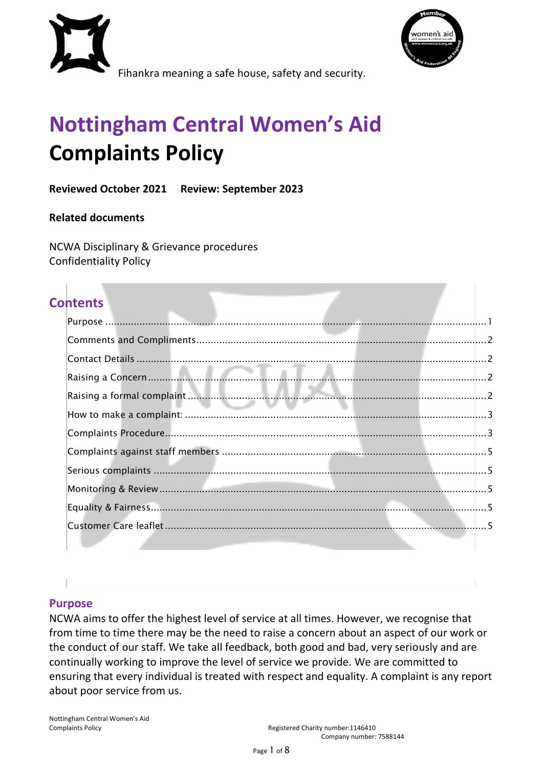



Fihankra meaning a safe house, safety and security.

# **Nottingham Central Women's Aid Complaints Policy**

# **Reviewed October 2021 Review: September 2023**

#### **Related documents**

NCWA Disciplinary & Grievance procedures Confidentiality Policy

# **Contents**

#### <span id="page-0-0"></span>**Purpose**

NCWA aims to offer the highest level of service at all times. However, we recognise that from time to time there may be the need to raise a concern about an aspect of our work or the conduct of our staff. We take all feedback, both good and bad, very seriously and are continually working to improve the level of service we provide. We are committed to ensuring that every individual is treated with respect and equality. A complaint is any report about poor service from us.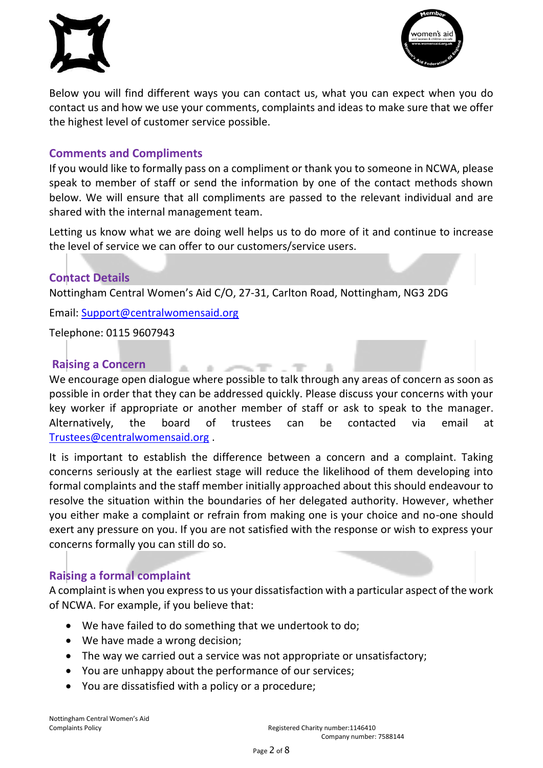



Below you will find different ways you can contact us, what you can expect when you do contact us and how we use your comments, complaints and ideas to make sure that we offer the highest level of customer service possible.

# <span id="page-1-0"></span>**Comments and Compliments**

If you would like to formally pass on a compliment or thank you to someone in NCWA, please speak to member of staff or send the information by one of the contact methods shown below. We will ensure that all compliments are passed to the relevant individual and are shared with the internal management team.

Letting us know what we are doing well helps us to do more of it and continue to increase the level of service we can offer to our customers/service users.

#### <span id="page-1-1"></span>**Contact Details**

Nottingham Central Women's Aid C/O, 27-31, Carlton Road, Nottingham, NG3 2DG

Email: [Support@centralwomensaid.org](mailto:Support@centralwomensaid.org)

 $\mathcal{L}(\mathbb{R})$ 

 $\mathcal{C}(\mathbb{R})$ 

Telephone: 0115 9607943

#### <span id="page-1-2"></span>**Raising a Concern**

We encourage open dialogue where possible to talk through any areas of concern as soon as possible in order that they can be addressed quickly. Please discuss your concerns with your key worker if appropriate or another member of staff or ask to speak to the manager. Alternatively, the board of trustees can be contacted via email at [Trustees@centralwomensaid.org](mailto:Trustees@centralwomensaid.org) .

and the con-

It is important to establish the difference between a concern and a complaint. Taking concerns seriously at the earliest stage will reduce the likelihood of them developing into formal complaints and the staff member initially approached about this should endeavour to resolve the situation within the boundaries of her delegated authority. However, whether you either make a complaint or refrain from making one is your choice and no-one should exert any pressure on you. If you are not satisfied with the response or wish to express your concerns formally you can still do so.

# <span id="page-1-3"></span>**Raising a formal complaint**

A complaint is when you express to us your dissatisfaction with a particular aspect of the work of NCWA. For example, if you believe that:

- We have failed to do something that we undertook to do;
- We have made a wrong decision;
- The way we carried out a service was not appropriate or unsatisfactory;
- You are unhappy about the performance of our services;
- You are dissatisfied with a policy or a procedure;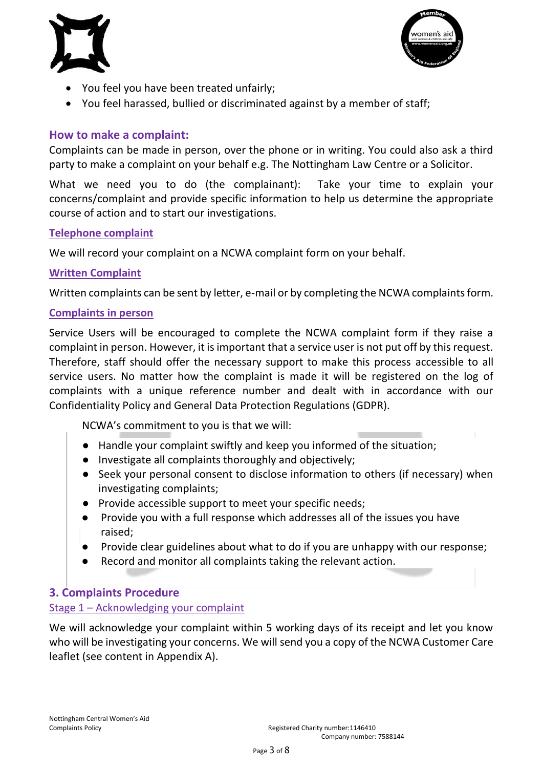



- You feel you have been treated unfairly;
- You feel harassed, bullied or discriminated against by a member of staff;

# <span id="page-2-0"></span>**How to make a complaint:**

Complaints can be made in person, over the phone or in writing. You could also ask a third party to make a complaint on your behalf e.g. The Nottingham Law Centre or a Solicitor.

What we need you to do (the complainant): Take your time to explain your concerns/complaint and provide specific information to help us determine the appropriate course of action and to start our investigations.

#### **Telephone complaint**

We will record your complaint on a NCWA complaint form on your behalf.

#### **Written Complaint**

Written complaints can be sent by letter, e-mail or by completing the NCWA complaints form.

#### **Complaints in person**

Service Users will be encouraged to complete the NCWA complaint form if they raise a complaint in person. However, it is important that a service user is not put off by this request. Therefore, staff should offer the necessary support to make this process accessible to all service users. No matter how the complaint is made it will be registered on the log of complaints with a unique reference number and dealt with in accordance with our Confidentiality Policy and General Data Protection Regulations (GDPR).

NCWA's commitment to you is that we will:

- Handle your complaint swiftly and keep you informed of the situation;
- Investigate all complaints thoroughly and objectively;
- Seek your personal consent to disclose information to others (if necessary) when investigating complaints;
- Provide accessible support to meet your specific needs;
- Provide you with a full response which addresses all of the issues you have raised;
- Provide clear guidelines about what to do if you are unhappy with our response;
- Record and monitor all complaints taking the relevant action.

# <span id="page-2-1"></span>**3. Complaints Procedure**

#### Stage 1 – Acknowledging your complaint

We will acknowledge your complaint within 5 working days of its receipt and let you know who will be investigating your concerns. We will send you a copy of the NCWA Customer Care leaflet (see content in Appendix A).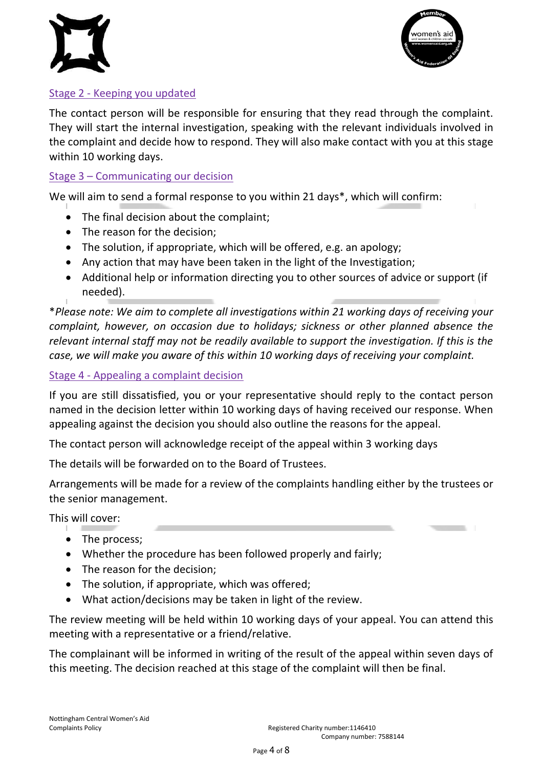



# Stage 2 - Keeping you updated

The contact person will be responsible for ensuring that they read through the complaint. They will start the internal investigation, speaking with the relevant individuals involved in the complaint and decide how to respond. They will also make contact with you at this stage within 10 working days.

#### Stage 3 – Communicating our decision

We will aim to send a formal response to you within 21 days\*, which will confirm:

- The final decision about the complaint;
- The reason for the decision;
- The solution, if appropriate, which will be offered, e.g. an apology;
- Any action that may have been taken in the light of the Investigation;
- Additional help or information directing you to other sources of advice or support (if needed).

\**Please note: We aim to complete all investigations within 21 working days of receiving your complaint, however, on occasion due to holidays; sickness or other planned absence the relevant internal staff may not be readily available to support the investigation. If this is the case, we will make you aware of this within 10 working days of receiving your complaint.*

#### Stage 4 - Appealing a complaint decision

If you are still dissatisfied, you or your representative should reply to the contact person named in the decision letter within 10 working days of having received our response. When appealing against the decision you should also outline the reasons for the appeal.

The contact person will acknowledge receipt of the appeal within 3 working days

The details will be forwarded on to the Board of Trustees.

Arrangements will be made for a review of the complaints handling either by the trustees or the senior management.

This will cover:

- The process;
- Whether the procedure has been followed properly and fairly;
- The reason for the decision;
- The solution, if appropriate, which was offered;
- What action/decisions may be taken in light of the review.

The review meeting will be held within 10 working days of your appeal. You can attend this meeting with a representative or a friend/relative.

The complainant will be informed in writing of the result of the appeal within seven days of this meeting. The decision reached at this stage of the complaint will then be final.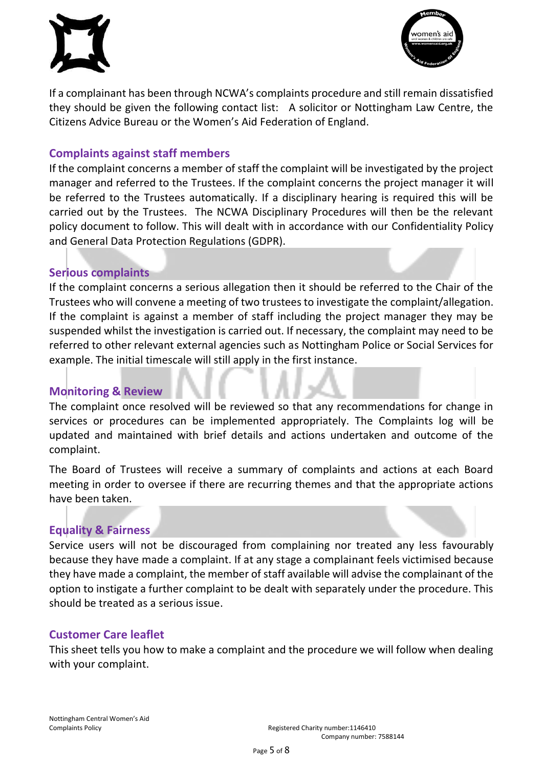



If a complainant has been through NCWA's complaints procedure and still remain dissatisfied they should be given the following contact list: A solicitor or Nottingham Law Centre, the Citizens Advice Bureau or the Women's Aid Federation of England.

# <span id="page-4-0"></span>**Complaints against staff members**

If the complaint concerns a member of staff the complaint will be investigated by the project manager and referred to the Trustees. If the complaint concerns the project manager it will be referred to the Trustees automatically. If a disciplinary hearing is required this will be carried out by the Trustees. The NCWA Disciplinary Procedures will then be the relevant policy document to follow. This will dealt with in accordance with our Confidentiality Policy and General Data Protection Regulations (GDPR).

# <span id="page-4-1"></span>**Serious complaints**

If the complaint concerns a serious allegation then it should be referred to the Chair of the Trustees who will convene a meeting of two trustees to investigate the complaint/allegation. If the complaint is against a member of staff including the project manager they may be suspended whilst the investigation is carried out. If necessary, the complaint may need to be referred to other relevant external agencies such as Nottingham Police or Social Services for example. The initial timescale will still apply in the first instance.

# <span id="page-4-2"></span>**Monitoring & Review**

The complaint once resolved will be reviewed so that any recommendations for change in services or procedures can be implemented appropriately. The Complaints log will be updated and maintained with brief details and actions undertaken and outcome of the complaint.

The Board of Trustees will receive a summary of complaints and actions at each Board meeting in order to oversee if there are recurring themes and that the appropriate actions have been taken.

# <span id="page-4-3"></span>**Equality & Fairness**

Service users will not be discouraged from complaining nor treated any less favourably because they have made a complaint. If at any stage a complainant feels victimised because they have made a complaint, the member of staff available will advise the complainant of the option to instigate a further complaint to be dealt with separately under the procedure. This should be treated as a serious issue.

# <span id="page-4-4"></span>**Customer Care leaflet**

This sheet tells you how to make a complaint and the procedure we will follow when dealing with your complaint.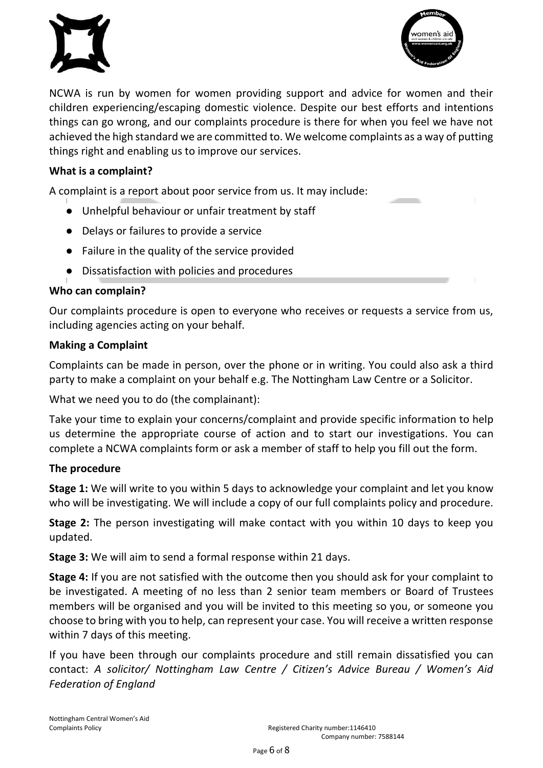



NCWA is run by women for women providing support and advice for women and their children experiencing/escaping domestic violence. Despite our best efforts and intentions things can go wrong, and our complaints procedure is there for when you feel we have not achieved the high standard we are committed to. We welcome complaints as a way of putting things right and enabling us to improve our services.

#### **What is a complaint?**

A complaint is a report about poor service from us. It may include:

- Unhelpful behaviour or unfair treatment by staff
- Delays or failures to provide a service
- Failure in the quality of the service provided
- Dissatisfaction with policies and procedures

#### **Who can complain?**

Our complaints procedure is open to everyone who receives or requests a service from us, including agencies acting on your behalf.

#### **Making a Complaint**

Complaints can be made in person, over the phone or in writing. You could also ask a third party to make a complaint on your behalf e.g. The Nottingham Law Centre or a Solicitor.

What we need you to do (the complainant):

Take your time to explain your concerns/complaint and provide specific information to help us determine the appropriate course of action and to start our investigations. You can complete a NCWA complaints form or ask a member of staff to help you fill out the form.

#### **The procedure**

**Stage 1:** We will write to you within 5 days to acknowledge your complaint and let you know who will be investigating. We will include a copy of our full complaints policy and procedure.

**Stage 2:** The person investigating will make contact with you within 10 days to keep you updated.

**Stage 3:** We will aim to send a formal response within 21 days.

**Stage 4:** If you are not satisfied with the outcome then you should ask for your complaint to be investigated. A meeting of no less than 2 senior team members or Board of Trustees members will be organised and you will be invited to this meeting so you, or someone you choose to bring with you to help, can represent your case. You will receive a written response within 7 days of this meeting.

If you have been through our complaints procedure and still remain dissatisfied you can contact: *A solicitor/ Nottingham Law Centre / Citizen's Advice Bureau / Women's Aid Federation of England*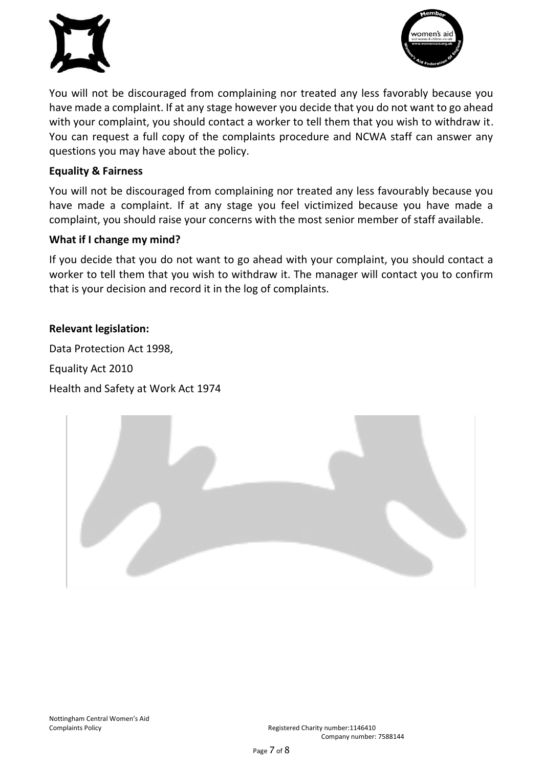



You will not be discouraged from complaining nor treated any less favorably because you have made a complaint. If at any stage however you decide that you do not want to go ahead with your complaint, you should contact a worker to tell them that you wish to withdraw it. You can request a full copy of the complaints procedure and NCWA staff can answer any questions you may have about the policy.

#### **Equality & Fairness**

You will not be discouraged from complaining nor treated any less favourably because you have made a complaint. If at any stage you feel victimized because you have made a complaint, you should raise your concerns with the most senior member of staff available.

#### **What if I change my mind?**

If you decide that you do not want to go ahead with your complaint, you should contact a worker to tell them that you wish to withdraw it. The manager will contact you to confirm that is your decision and record it in the log of complaints.

#### **Relevant legislation:**

Data Protection Act 1998, Equality Act 2010 Health and Safety at Work Act 1974